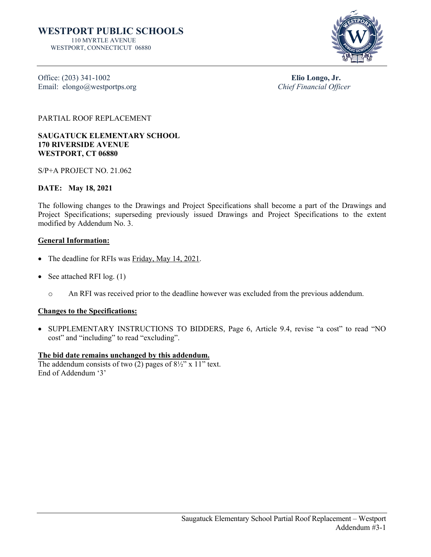

Office: (203) 341-1002<br>
Elio Longo, Jr.<br>
Elio Longo, Jr.<br>
Chief Financial Officer Email: elongo@westportps.org

PARTIAL ROOF REPLACEMENT

**SAUGATUCK ELEMENTARY SCHOOL 170 RIVERSIDE AVENUE WESTPORT, CT 06880**

S/P+A PROJECT NO. 21.062

# **DATE: May 18, 2021**

The following changes to the Drawings and Project Specifications shall become a part of the Drawings and Project Specifications; superseding previously issued Drawings and Project Specifications to the extent modified by Addendum No. 3.

# **General Information:**

- The deadline for RFIs was Friday, May 14, 2021.
- See attached RFI log. (1)
	- o An RFI was received prior to the deadline however was excluded from the previous addendum.

# **Changes to the Specifications:**

• SUPPLEMENTARY INSTRUCTIONS TO BIDDERS, Page 6, Article 9.4, revise "a cost" to read "NO cost" and "including" to read "excluding".

# **The bid date remains unchanged by this addendum.**

The addendum consists of two (2) pages of  $8\frac{1}{2}$ " x 11" text. End of Addendum '3'